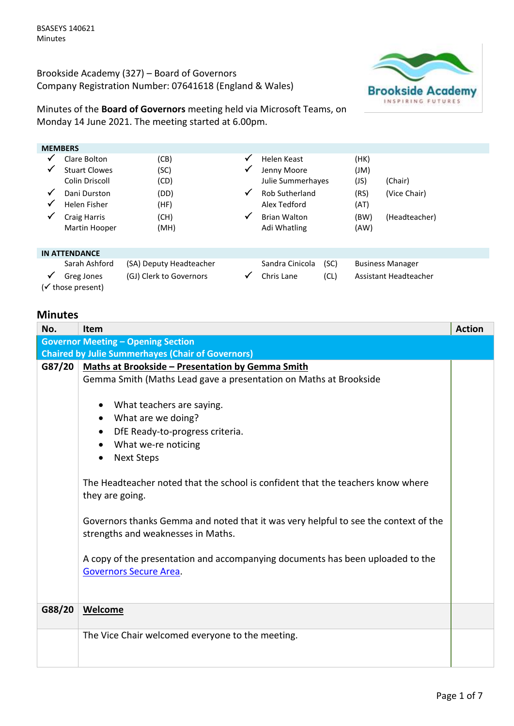Brookside Academy (327) – Board of Governors Company Registration Number: 07641618 (England & Wales)



Minutes of the **Board of Governors** meeting held via Microsoft Teams, on Monday 14 June 2021. The meeting started at 6.00pm.

| <b>MEMBERS</b> |                                 |                         |              |                       |      |      |                         |
|----------------|---------------------------------|-------------------------|--------------|-----------------------|------|------|-------------------------|
|                | Clare Bolton                    | (CB)                    | ✓            | Helen Keast           |      | (HK) |                         |
| ✔              | <b>Stuart Clowes</b>            | (SC)                    | ✓            | Jenny Moore           |      | (Ml) |                         |
|                | Colin Driscoll                  | (CD)                    |              | Julie Summerhayes     |      | (JS) | (Chair)                 |
| $\checkmark$   | Dani Durston                    | (DD)                    | $\checkmark$ | <b>Rob Sutherland</b> |      | (RS) | (Vice Chair)            |
| ✔              | <b>Helen Fisher</b>             | (HF)                    |              | Alex Tedford          |      | (AT) |                         |
| $\checkmark$   | <b>Craig Harris</b>             | (CH)                    | $\checkmark$ | <b>Brian Walton</b>   |      | (BW) | (Headteacher)           |
|                | Martin Hooper                   | (MH)                    |              | Adi Whatling          |      | (AW) |                         |
|                |                                 |                         |              |                       |      |      |                         |
|                | <b>IN ATTENDANCE</b>            |                         |              |                       |      |      |                         |
|                | Sarah Ashford                   | (SA) Deputy Headteacher |              | Sandra Cinicola       | (SC) |      | <b>Business Manager</b> |
|                | Greg Jones<br>(√ those present) | (GJ) Clerk to Governors | ✓            | Chris Lane            | (CL) |      | Assistant Headteacher   |

## **Minutes**

| No.                                       | <b>Item</b>                                                                                                                                                                                                                                                                                                                                 | <b>Action</b> |  |  |
|-------------------------------------------|---------------------------------------------------------------------------------------------------------------------------------------------------------------------------------------------------------------------------------------------------------------------------------------------------------------------------------------------|---------------|--|--|
| <b>Governor Meeting - Opening Section</b> |                                                                                                                                                                                                                                                                                                                                             |               |  |  |
|                                           | <b>Chaired by Julie Summerhayes (Chair of Governors)</b>                                                                                                                                                                                                                                                                                    |               |  |  |
| G87/20                                    | <b>Maths at Brookside - Presentation by Gemma Smith</b>                                                                                                                                                                                                                                                                                     |               |  |  |
|                                           | Gemma Smith (Maths Lead gave a presentation on Maths at Brookside                                                                                                                                                                                                                                                                           |               |  |  |
|                                           |                                                                                                                                                                                                                                                                                                                                             |               |  |  |
|                                           | What teachers are saying.                                                                                                                                                                                                                                                                                                                   |               |  |  |
|                                           | What are we doing?                                                                                                                                                                                                                                                                                                                          |               |  |  |
|                                           | DfE Ready-to-progress criteria.<br>$\bullet$                                                                                                                                                                                                                                                                                                |               |  |  |
|                                           | • What we-re noticing                                                                                                                                                                                                                                                                                                                       |               |  |  |
|                                           | <b>Next Steps</b><br>$\bullet$                                                                                                                                                                                                                                                                                                              |               |  |  |
|                                           | The Headteacher noted that the school is confident that the teachers know where<br>they are going.<br>Governors thanks Gemma and noted that it was very helpful to see the context of the<br>strengths and weaknesses in Maths.<br>A copy of the presentation and accompanying documents has been uploaded to the<br>Governors Secure Area. |               |  |  |
| G88/20                                    | Welcome                                                                                                                                                                                                                                                                                                                                     |               |  |  |
|                                           |                                                                                                                                                                                                                                                                                                                                             |               |  |  |
|                                           | The Vice Chair welcomed everyone to the meeting.                                                                                                                                                                                                                                                                                            |               |  |  |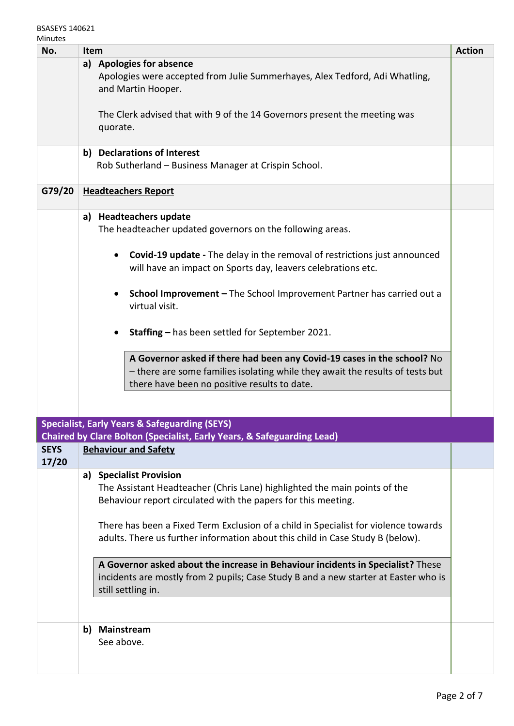| No.                  | Item                                                                                                                                                                                                     | <b>Action</b> |  |  |  |
|----------------------|----------------------------------------------------------------------------------------------------------------------------------------------------------------------------------------------------------|---------------|--|--|--|
|                      | a) Apologies for absence                                                                                                                                                                                 |               |  |  |  |
|                      | Apologies were accepted from Julie Summerhayes, Alex Tedford, Adi Whatling,<br>and Martin Hooper.                                                                                                        |               |  |  |  |
|                      | The Clerk advised that with 9 of the 14 Governors present the meeting was<br>quorate.                                                                                                                    |               |  |  |  |
|                      |                                                                                                                                                                                                          |               |  |  |  |
|                      | b) Declarations of Interest<br>Rob Sutherland - Business Manager at Crispin School.                                                                                                                      |               |  |  |  |
| G79/20               | <b>Headteachers Report</b>                                                                                                                                                                               |               |  |  |  |
|                      | a) Headteachers update<br>The headteacher updated governors on the following areas.                                                                                                                      |               |  |  |  |
|                      | Covid-19 update - The delay in the removal of restrictions just announced<br>$\bullet$<br>will have an impact on Sports day, leavers celebrations etc.                                                   |               |  |  |  |
|                      | School Improvement - The School Improvement Partner has carried out a<br>virtual visit.                                                                                                                  |               |  |  |  |
|                      | Staffing - has been settled for September 2021.                                                                                                                                                          |               |  |  |  |
|                      | A Governor asked if there had been any Covid-19 cases in the school? No<br>- there are some families isolating while they await the results of tests but<br>there have been no positive results to date. |               |  |  |  |
|                      |                                                                                                                                                                                                          |               |  |  |  |
|                      | <b>Specialist, Early Years &amp; Safeguarding (SEYS)</b>                                                                                                                                                 |               |  |  |  |
|                      | <b>Chaired by Clare Bolton (Specialist, Early Years, &amp; Safeguarding Lead)</b>                                                                                                                        |               |  |  |  |
| <b>SEYS</b><br>17/20 | <b>Behaviour and Safety</b>                                                                                                                                                                              |               |  |  |  |
|                      | <b>Specialist Provision</b><br>a)                                                                                                                                                                        |               |  |  |  |
|                      | The Assistant Headteacher (Chris Lane) highlighted the main points of the<br>Behaviour report circulated with the papers for this meeting.                                                               |               |  |  |  |
|                      | There has been a Fixed Term Exclusion of a child in Specialist for violence towards<br>adults. There us further information about this child in Case Study B (below).                                    |               |  |  |  |
|                      | A Governor asked about the increase in Behaviour incidents in Specialist? These<br>incidents are mostly from 2 pupils; Case Study B and a new starter at Easter who is<br>still settling in.             |               |  |  |  |
|                      | <b>Mainstream</b><br>b)<br>See above.                                                                                                                                                                    |               |  |  |  |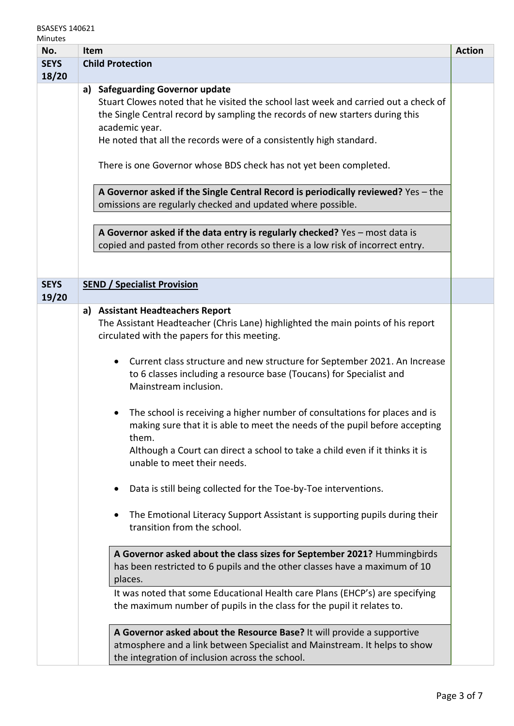| Millutes<br>No. | <b>Item</b>                                                                         | <b>Action</b> |
|-----------------|-------------------------------------------------------------------------------------|---------------|
| <b>SEYS</b>     | <b>Child Protection</b>                                                             |               |
| 18/20           |                                                                                     |               |
|                 | a) Safeguarding Governor update                                                     |               |
|                 | Stuart Clowes noted that he visited the school last week and carried out a check of |               |
|                 |                                                                                     |               |
|                 | the Single Central record by sampling the records of new starters during this       |               |
|                 | academic year.                                                                      |               |
|                 | He noted that all the records were of a consistently high standard.                 |               |
|                 |                                                                                     |               |
|                 | There is one Governor whose BDS check has not yet been completed.                   |               |
|                 |                                                                                     |               |
|                 | A Governor asked if the Single Central Record is periodically reviewed? Yes - the   |               |
|                 | omissions are regularly checked and updated where possible.                         |               |
|                 |                                                                                     |               |
|                 | A Governor asked if the data entry is regularly checked? Yes - most data is         |               |
|                 | copied and pasted from other records so there is a low risk of incorrect entry.     |               |
|                 |                                                                                     |               |
|                 |                                                                                     |               |
| <b>SEYS</b>     | <b>SEND / Specialist Provision</b>                                                  |               |
| 19/20           |                                                                                     |               |
|                 | a) Assistant Headteachers Report                                                    |               |
|                 | The Assistant Headteacher (Chris Lane) highlighted the main points of his report    |               |
|                 | circulated with the papers for this meeting.                                        |               |
|                 |                                                                                     |               |
|                 | Current class structure and new structure for September 2021. An Increase           |               |
|                 | to 6 classes including a resource base (Toucans) for Specialist and                 |               |
|                 | Mainstream inclusion.                                                               |               |
|                 |                                                                                     |               |
|                 | The school is receiving a higher number of consultations for places and is          |               |
|                 |                                                                                     |               |
|                 | making sure that it is able to meet the needs of the pupil before accepting         |               |
|                 | them.                                                                               |               |
|                 | Although a Court can direct a school to take a child even if it thinks it is        |               |
|                 | unable to meet their needs.                                                         |               |
|                 |                                                                                     |               |
|                 | Data is still being collected for the Toe-by-Toe interventions.                     |               |
|                 |                                                                                     |               |
|                 | The Emotional Literacy Support Assistant is supporting pupils during their          |               |
|                 | transition from the school.                                                         |               |
|                 |                                                                                     |               |
|                 | A Governor asked about the class sizes for September 2021? Hummingbirds             |               |
|                 | has been restricted to 6 pupils and the other classes have a maximum of 10          |               |
|                 | places.                                                                             |               |
|                 | It was noted that some Educational Health care Plans (EHCP's) are specifying        |               |
|                 | the maximum number of pupils in the class for the pupil it relates to.              |               |
|                 |                                                                                     |               |
|                 | A Governor asked about the Resource Base? It will provide a supportive              |               |
|                 | atmosphere and a link between Specialist and Mainstream. It helps to show           |               |
|                 | the integration of inclusion across the school.                                     |               |
|                 |                                                                                     |               |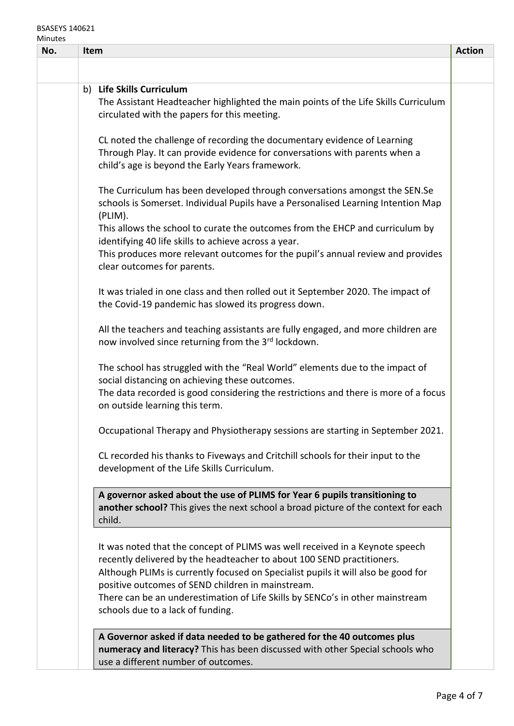## BSASEYS 140621

| Minutes |      |                                                                                     |               |
|---------|------|-------------------------------------------------------------------------------------|---------------|
| No.     | Item |                                                                                     | <b>Action</b> |
|         |      |                                                                                     |               |
|         |      | b) Life Skills Curriculum                                                           |               |
|         |      | The Assistant Headteacher highlighted the main points of the Life Skills Curriculum |               |
|         |      | circulated with the papers for this meeting.                                        |               |
|         |      |                                                                                     |               |
|         |      | CL noted the challenge of recording the documentary evidence of Learning            |               |
|         |      | Through Play. It can provide evidence for conversations with parents when a         |               |
|         |      | child's age is beyond the Early Years framework.                                    |               |
|         |      |                                                                                     |               |
|         |      | The Curriculum has been developed through conversations amongst the SEN.Se          |               |
|         |      | schools is Somerset. Individual Pupils have a Personalised Learning Intention Map   |               |
|         |      | (PLIM).                                                                             |               |
|         |      | This allows the school to curate the outcomes from the EHCP and curriculum by       |               |
|         |      | identifying 40 life skills to achieve across a year.                                |               |
|         |      | This produces more relevant outcomes for the pupil's annual review and provides     |               |
|         |      | clear outcomes for parents.                                                         |               |
|         |      |                                                                                     |               |
|         |      | It was trialed in one class and then rolled out it September 2020. The impact of    |               |
|         |      | the Covid-19 pandemic has slowed its progress down.                                 |               |
|         |      |                                                                                     |               |
|         |      | All the teachers and teaching assistants are fully engaged, and more children are   |               |
|         |      | now involved since returning from the 3rd lockdown.                                 |               |
|         |      | The school has struggled with the "Real World" elements due to the impact of        |               |
|         |      | social distancing on achieving these outcomes.                                      |               |
|         |      | The data recorded is good considering the restrictions and there is more of a focus |               |
|         |      | on outside learning this term.                                                      |               |
|         |      |                                                                                     |               |
|         |      | Occupational Therapy and Physiotherapy sessions are starting in September 2021.     |               |
|         |      |                                                                                     |               |
|         |      | CL recorded his thanks to Fiveways and Critchill schools for their input to the     |               |
|         |      | development of the Life Skills Curriculum.                                          |               |
|         |      | A governor asked about the use of PLIMS for Year 6 pupils transitioning to          |               |
|         |      | another school? This gives the next school a broad picture of the context for each  |               |
|         |      | child.                                                                              |               |
|         |      |                                                                                     |               |
|         |      | It was noted that the concept of PLIMS was well received in a Keynote speech        |               |
|         |      | recently delivered by the headteacher to about 100 SEND practitioners.              |               |
|         |      | Although PLIMs is currently focused on Specialist pupils it will also be good for   |               |
|         |      | positive outcomes of SEND children in mainstream.                                   |               |
|         |      | There can be an underestimation of Life Skills by SENCo's in other mainstream       |               |
|         |      | schools due to a lack of funding.                                                   |               |
|         |      |                                                                                     |               |
|         |      | A Governor asked if data needed to be gathered for the 40 outcomes plus             |               |
|         |      | numeracy and literacy? This has been discussed with other Special schools who       |               |
|         |      | use a different number of outcomes.                                                 |               |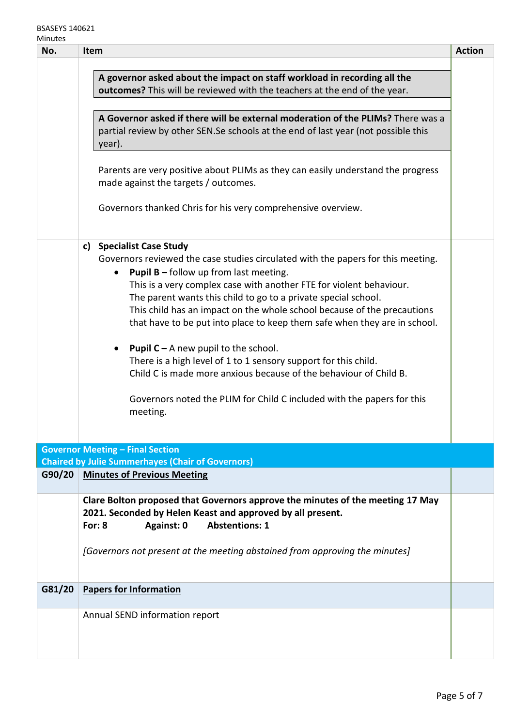| No.    | <b>Item</b>                                                                                                                                                                                                                                                                                                                                                                                                                                                                                                                                                                                                                                                                                                                                                        | <b>Action</b> |
|--------|--------------------------------------------------------------------------------------------------------------------------------------------------------------------------------------------------------------------------------------------------------------------------------------------------------------------------------------------------------------------------------------------------------------------------------------------------------------------------------------------------------------------------------------------------------------------------------------------------------------------------------------------------------------------------------------------------------------------------------------------------------------------|---------------|
|        | A governor asked about the impact on staff workload in recording all the<br>outcomes? This will be reviewed with the teachers at the end of the year.<br>A Governor asked if there will be external moderation of the PLIMs? There was a<br>partial review by other SEN.Se schools at the end of last year (not possible this<br>year).<br>Parents are very positive about PLIMs as they can easily understand the progress<br>made against the targets / outcomes.<br>Governors thanked Chris for his very comprehensive overview.                                                                                                                                                                                                                                |               |
|        | <b>Specialist Case Study</b><br>c)<br>Governors reviewed the case studies circulated with the papers for this meeting.<br><b>Pupil B - follow up from last meeting.</b><br>$\bullet$<br>This is a very complex case with another FTE for violent behaviour.<br>The parent wants this child to go to a private special school.<br>This child has an impact on the whole school because of the precautions<br>that have to be put into place to keep them safe when they are in school.<br><b>Pupil C</b> – A new pupil to the school.<br>There is a high level of 1 to 1 sensory support for this child.<br>Child C is made more anxious because of the behaviour of Child B.<br>Governors noted the PLIM for Child C included with the papers for this<br>meeting. |               |
|        | <b>Governor Meeting - Final Section</b>                                                                                                                                                                                                                                                                                                                                                                                                                                                                                                                                                                                                                                                                                                                            |               |
| G90/20 | <b>Chaired by Julie Summerhayes (Chair of Governors)</b><br><b>Minutes of Previous Meeting</b>                                                                                                                                                                                                                                                                                                                                                                                                                                                                                                                                                                                                                                                                     |               |
|        | Clare Bolton proposed that Governors approve the minutes of the meeting 17 May<br>2021. Seconded by Helen Keast and approved by all present.<br><b>Abstentions: 1</b><br>Against: 0<br>For: $8$<br>[Governors not present at the meeting abstained from approving the minutes]                                                                                                                                                                                                                                                                                                                                                                                                                                                                                     |               |
| G81/20 | <b>Papers for Information</b>                                                                                                                                                                                                                                                                                                                                                                                                                                                                                                                                                                                                                                                                                                                                      |               |
|        | Annual SEND information report                                                                                                                                                                                                                                                                                                                                                                                                                                                                                                                                                                                                                                                                                                                                     |               |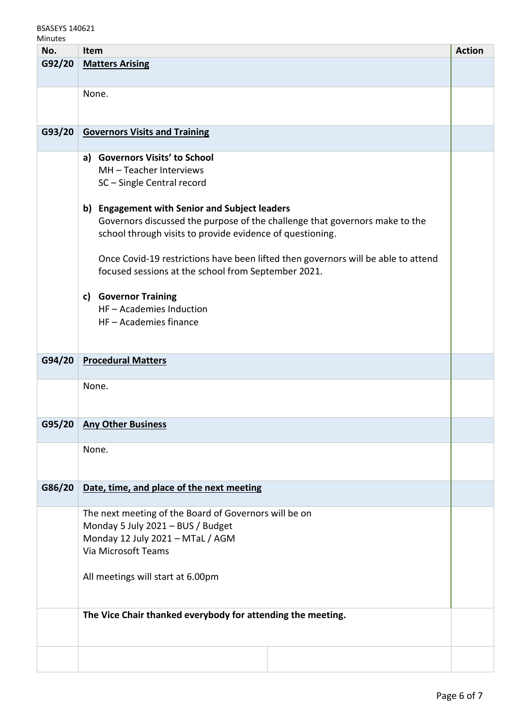## BSASEYS 140621

| ' ' |  |
|-----|--|
|-----|--|

| No.    | Item                                                                              | <b>Action</b> |
|--------|-----------------------------------------------------------------------------------|---------------|
| G92/20 | <b>Matters Arising</b>                                                            |               |
|        |                                                                                   |               |
|        | None.                                                                             |               |
|        |                                                                                   |               |
|        |                                                                                   |               |
| G93/20 | <b>Governors Visits and Training</b>                                              |               |
|        |                                                                                   |               |
|        | <b>Governors Visits' to School</b><br>a)                                          |               |
|        | MH - Teacher Interviews                                                           |               |
|        | SC-Single Central record                                                          |               |
|        |                                                                                   |               |
|        | b) Engagement with Senior and Subject leaders                                     |               |
|        | Governors discussed the purpose of the challenge that governors make to the       |               |
|        | school through visits to provide evidence of questioning.                         |               |
|        |                                                                                   |               |
|        | Once Covid-19 restrictions have been lifted then governors will be able to attend |               |
|        | focused sessions at the school from September 2021.                               |               |
|        | <b>Governor Training</b><br>c)                                                    |               |
|        | HF - Academies Induction                                                          |               |
|        | HF - Academies finance                                                            |               |
|        |                                                                                   |               |
|        |                                                                                   |               |
| G94/20 | <b>Procedural Matters</b>                                                         |               |
|        |                                                                                   |               |
|        | None.                                                                             |               |
|        |                                                                                   |               |
|        |                                                                                   |               |
| G95/20 | <b>Any Other Business</b>                                                         |               |
|        | None.                                                                             |               |
|        |                                                                                   |               |
|        |                                                                                   |               |
| G86/20 | Date, time, and place of the next meeting                                         |               |
|        |                                                                                   |               |
|        | The next meeting of the Board of Governors will be on                             |               |
|        | Monday 5 July 2021 - BUS / Budget                                                 |               |
|        | Monday 12 July 2021 - MTaL / AGM                                                  |               |
|        | Via Microsoft Teams                                                               |               |
|        |                                                                                   |               |
|        | All meetings will start at 6.00pm                                                 |               |
|        |                                                                                   |               |
|        |                                                                                   |               |
|        | The Vice Chair thanked everybody for attending the meeting.                       |               |
|        |                                                                                   |               |
|        |                                                                                   |               |
|        |                                                                                   |               |
|        |                                                                                   |               |